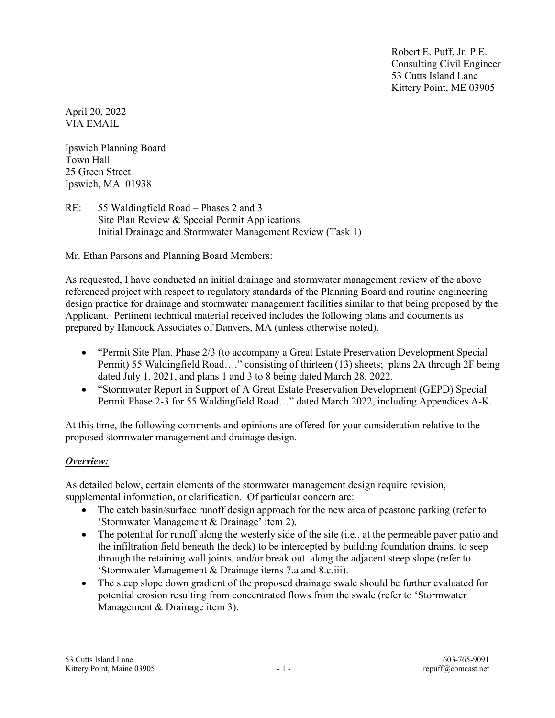Robert E. Puff, Jr. P.E. Consulting Civil Engineer 53 Cutts Island Lane Kittery Point, ME 03905

April 20, 2022 VIA EMAIL

Ipswich Planning Board Town Hall 25 Green Street Ipswich, MA 01938

RE: 55 Waldingfield Road – Phases 2 and 3 Site Plan Review & Special Permit Applications Initial Drainage and Stormwater Management Review (Task 1)

Mr. Ethan Parsons and Planning Board Members:

As requested, I have conducted an initial drainage and stormwater management review of the above referenced project with respect to regulatory standards of the Planning Board and routine engineering design practice for drainage and stormwater management facilities similar to that being proposed by the Applicant. Pertinent technical material received includes the following plans and documents as prepared by Hancock Associates of Danvers, MA (unless otherwise noted).

- "Permit Site Plan, Phase 2/3 (to accompany a Great Estate Preservation Development Special Permit) 55 Waldingfield Road…." consisting of thirteen (13) sheets; plans 2A through 2F being dated July 1, 2021, and plans 1 and 3 to 8 being dated March 28, 2022.
- "Stormwater Report in Support of A Great Estate Preservation Development (GEPD) Special Permit Phase 2-3 for 55 Waldingfield Road…" dated March 2022, including Appendices A-K.

At this time, the following comments and opinions are offered for your consideration relative to the proposed stormwater management and drainage design.

#### Overview:

As detailed below, certain elements of the stormwater management design require revision, supplemental information, or clarification. Of particular concern are:

- The catch basin/surface runoff design approach for the new area of peastone parking (refer to 'Stormwater Management & Drainage' item 2).
- The potential for runoff along the westerly side of the site (i.e., at the permeable paver patio and the infiltration field beneath the deck) to be intercepted by building foundation drains, to seep through the retaining wall joints, and/or break out along the adjacent steep slope (refer to 'Stormwater Management & Drainage items 7.a and 8.c.iii).
- The steep slope down gradient of the proposed drainage swale should be further evaluated for potential erosion resulting from concentrated flows from the swale (refer to 'Stormwater Management & Drainage item 3).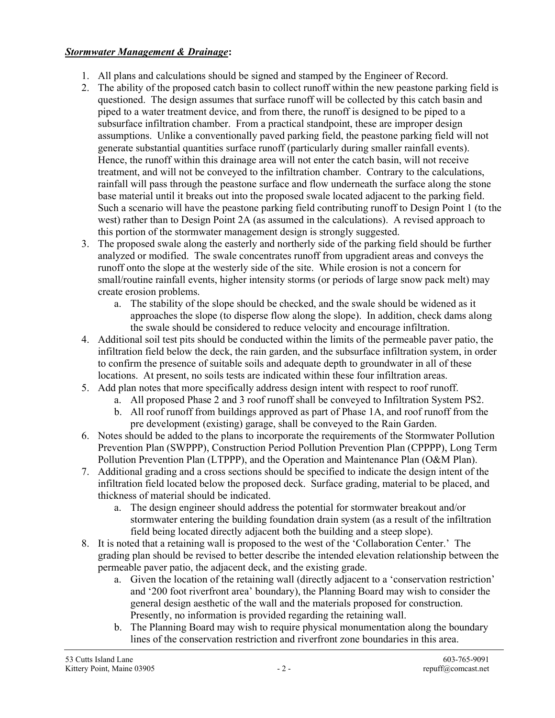#### Stormwater Management & Drainage:

- 1. All plans and calculations should be signed and stamped by the Engineer of Record.
- 2. The ability of the proposed catch basin to collect runoff within the new peastone parking field is questioned. The design assumes that surface runoff will be collected by this catch basin and piped to a water treatment device, and from there, the runoff is designed to be piped to a subsurface infiltration chamber. From a practical standpoint, these are improper design assumptions. Unlike a conventionally paved parking field, the peastone parking field will not generate substantial quantities surface runoff (particularly during smaller rainfall events). Hence, the runoff within this drainage area will not enter the catch basin, will not receive treatment, and will not be conveyed to the infiltration chamber. Contrary to the calculations, rainfall will pass through the peastone surface and flow underneath the surface along the stone base material until it breaks out into the proposed swale located adjacent to the parking field. Such a scenario will have the peastone parking field contributing runoff to Design Point 1 (to the west) rather than to Design Point 2A (as assumed in the calculations). A revised approach to this portion of the stormwater management design is strongly suggested.
- 3. The proposed swale along the easterly and northerly side of the parking field should be further analyzed or modified. The swale concentrates runoff from upgradient areas and conveys the runoff onto the slope at the westerly side of the site. While erosion is not a concern for small/routine rainfall events, higher intensity storms (or periods of large snow pack melt) may create erosion problems.
	- a. The stability of the slope should be checked, and the swale should be widened as it approaches the slope (to disperse flow along the slope). In addition, check dams along the swale should be considered to reduce velocity and encourage infiltration.
- 4. Additional soil test pits should be conducted within the limits of the permeable paver patio, the infiltration field below the deck, the rain garden, and the subsurface infiltration system, in order to confirm the presence of suitable soils and adequate depth to groundwater in all of these locations. At present, no soils tests are indicated within these four infiltration areas.
- 5. Add plan notes that more specifically address design intent with respect to roof runoff.
	- a. All proposed Phase 2 and 3 roof runoff shall be conveyed to Infiltration System PS2.
		- b. All roof runoff from buildings approved as part of Phase 1A, and roof runoff from the pre development (existing) garage, shall be conveyed to the Rain Garden.
- 6. Notes should be added to the plans to incorporate the requirements of the Stormwater Pollution Prevention Plan (SWPPP), Construction Period Pollution Prevention Plan (CPPPP), Long Term Pollution Prevention Plan (LTPPP), and the Operation and Maintenance Plan (O&M Plan).
- 7. Additional grading and a cross sections should be specified to indicate the design intent of the infiltration field located below the proposed deck. Surface grading, material to be placed, and thickness of material should be indicated.
	- a. The design engineer should address the potential for stormwater breakout and/or stormwater entering the building foundation drain system (as a result of the infiltration field being located directly adjacent both the building and a steep slope).
- 8. It is noted that a retaining wall is proposed to the west of the 'Collaboration Center.' The grading plan should be revised to better describe the intended elevation relationship between the permeable paver patio, the adjacent deck, and the existing grade.
	- a. Given the location of the retaining wall (directly adjacent to a 'conservation restriction' and '200 foot riverfront area' boundary), the Planning Board may wish to consider the general design aesthetic of the wall and the materials proposed for construction. Presently, no information is provided regarding the retaining wall.
	- b. The Planning Board may wish to require physical monumentation along the boundary lines of the conservation restriction and riverfront zone boundaries in this area.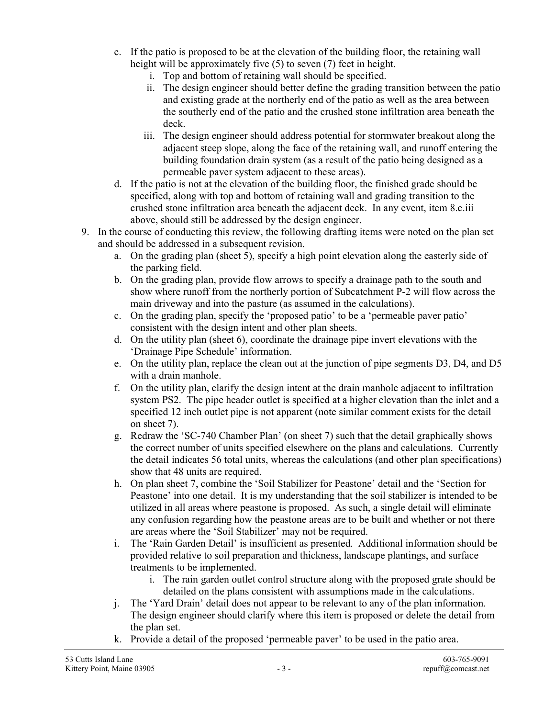- c. If the patio is proposed to be at the elevation of the building floor, the retaining wall height will be approximately five (5) to seven (7) feet in height.
	- i. Top and bottom of retaining wall should be specified.
	- ii. The design engineer should better define the grading transition between the patio and existing grade at the northerly end of the patio as well as the area between the southerly end of the patio and the crushed stone infiltration area beneath the deck.
	- iii. The design engineer should address potential for stormwater breakout along the adjacent steep slope, along the face of the retaining wall, and runoff entering the building foundation drain system (as a result of the patio being designed as a permeable paver system adjacent to these areas).
- d. If the patio is not at the elevation of the building floor, the finished grade should be specified, along with top and bottom of retaining wall and grading transition to the crushed stone infiltration area beneath the adjacent deck. In any event, item 8.c.iii above, should still be addressed by the design engineer.
- 9. In the course of conducting this review, the following drafting items were noted on the plan set and should be addressed in a subsequent revision.
	- a. On the grading plan (sheet 5), specify a high point elevation along the easterly side of the parking field.
	- b. On the grading plan, provide flow arrows to specify a drainage path to the south and show where runoff from the northerly portion of Subcatchment P-2 will flow across the main driveway and into the pasture (as assumed in the calculations).
	- c. On the grading plan, specify the 'proposed patio' to be a 'permeable paver patio' consistent with the design intent and other plan sheets.
	- d. On the utility plan (sheet 6), coordinate the drainage pipe invert elevations with the 'Drainage Pipe Schedule' information.
	- e. On the utility plan, replace the clean out at the junction of pipe segments D3, D4, and D5 with a drain manhole.
	- f. On the utility plan, clarify the design intent at the drain manhole adjacent to infiltration system PS2. The pipe header outlet is specified at a higher elevation than the inlet and a specified 12 inch outlet pipe is not apparent (note similar comment exists for the detail on sheet 7).
	- g. Redraw the 'SC-740 Chamber Plan' (on sheet 7) such that the detail graphically shows the correct number of units specified elsewhere on the plans and calculations. Currently the detail indicates 56 total units, whereas the calculations (and other plan specifications) show that 48 units are required.
	- h. On plan sheet 7, combine the 'Soil Stabilizer for Peastone' detail and the 'Section for Peastone' into one detail. It is my understanding that the soil stabilizer is intended to be utilized in all areas where peastone is proposed. As such, a single detail will eliminate any confusion regarding how the peastone areas are to be built and whether or not there are areas where the 'Soil Stabilizer' may not be required.
	- i. The 'Rain Garden Detail' is insufficient as presented. Additional information should be provided relative to soil preparation and thickness, landscape plantings, and surface treatments to be implemented.
		- i. The rain garden outlet control structure along with the proposed grate should be detailed on the plans consistent with assumptions made in the calculations.
	- j. The 'Yard Drain' detail does not appear to be relevant to any of the plan information. The design engineer should clarify where this item is proposed or delete the detail from the plan set.
	- k. Provide a detail of the proposed 'permeable paver' to be used in the patio area.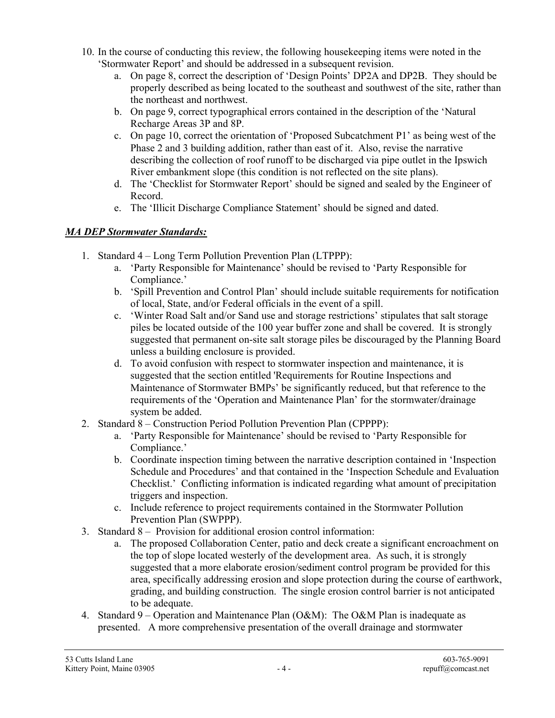- 10. In the course of conducting this review, the following housekeeping items were noted in the 'Stormwater Report' and should be addressed in a subsequent revision.
	- a. On page 8, correct the description of 'Design Points' DP2A and DP2B. They should be properly described as being located to the southeast and southwest of the site, rather than the northeast and northwest.
	- b. On page 9, correct typographical errors contained in the description of the 'Natural Recharge Areas 3P and 8P.
	- c. On page 10, correct the orientation of 'Proposed Subcatchment P1' as being west of the Phase 2 and 3 building addition, rather than east of it. Also, revise the narrative describing the collection of roof runoff to be discharged via pipe outlet in the Ipswich River embankment slope (this condition is not reflected on the site plans).
	- d. The 'Checklist for Stormwater Report' should be signed and sealed by the Engineer of Record.
	- e. The 'Illicit Discharge Compliance Statement' should be signed and dated.

## **MA DEP Stormwater Standards:**

- 1. Standard 4 Long Term Pollution Prevention Plan (LTPPP):
	- a. 'Party Responsible for Maintenance' should be revised to 'Party Responsible for Compliance.'
	- b. 'Spill Prevention and Control Plan' should include suitable requirements for notification of local, State, and/or Federal officials in the event of a spill.
	- c. 'Winter Road Salt and/or Sand use and storage restrictions' stipulates that salt storage piles be located outside of the 100 year buffer zone and shall be covered. It is strongly suggested that permanent on-site salt storage piles be discouraged by the Planning Board unless a building enclosure is provided.
	- d. To avoid confusion with respect to stormwater inspection and maintenance, it is suggested that the section entitled 'Requirements for Routine Inspections and Maintenance of Stormwater BMPs' be significantly reduced, but that reference to the requirements of the 'Operation and Maintenance Plan' for the stormwater/drainage system be added.
- 2. Standard 8 Construction Period Pollution Prevention Plan (CPPPP):
	- a. 'Party Responsible for Maintenance' should be revised to 'Party Responsible for Compliance.'
	- b. Coordinate inspection timing between the narrative description contained in 'Inspection Schedule and Procedures' and that contained in the 'Inspection Schedule and Evaluation Checklist.' Conflicting information is indicated regarding what amount of precipitation triggers and inspection.
	- c. Include reference to project requirements contained in the Stormwater Pollution Prevention Plan (SWPPP).
- 3. Standard 8 Provision for additional erosion control information:
	- a. The proposed Collaboration Center, patio and deck create a significant encroachment on the top of slope located westerly of the development area. As such, it is strongly suggested that a more elaborate erosion/sediment control program be provided for this area, specifically addressing erosion and slope protection during the course of earthwork, grading, and building construction. The single erosion control barrier is not anticipated to be adequate.
- 4. Standard 9 Operation and Maintenance Plan (O&M): The O&M Plan is inadequate as presented. A more comprehensive presentation of the overall drainage and stormwater